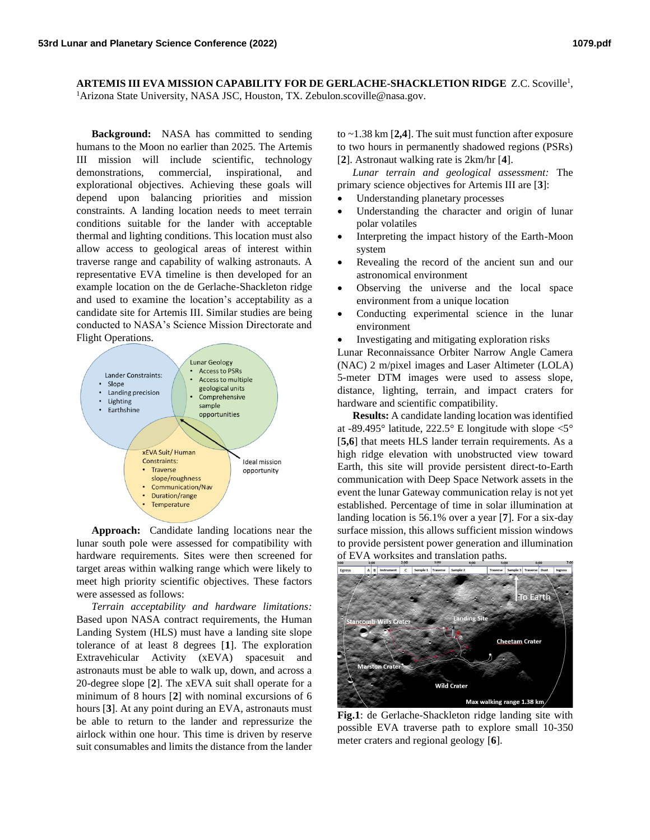**ARTEMIS III EVA MISSION CAPABILITY FOR DE GERLACHE-SHACKLETION RIDGE** Z.C. Scoville<sup>1</sup> , <sup>1</sup>Arizona State University, NASA JSC, Houston, TX. Zebulon.scoville@nasa.gov.

**Background:** NASA has committed to sending humans to the Moon no earlier than 2025. The Artemis III mission will include scientific, technology demonstrations, commercial, inspirational, and explorational objectives. Achieving these goals will depend upon balancing priorities and mission constraints. A landing location needs to meet terrain conditions suitable for the lander with acceptable thermal and lighting conditions. This location must also allow access to geological areas of interest within traverse range and capability of walking astronauts. A representative EVA timeline is then developed for an example location on the de Gerlache-Shackleton ridge and used to examine the location's acceptability as a candidate site for Artemis III. Similar studies are being conducted to NASA's Science Mission Directorate and Flight Operations.



**Approach:** Candidate landing locations near the lunar south pole were assessed for compatibility with hardware requirements. Sites were then screened for target areas within walking range which were likely to meet high priority scientific objectives. These factors were assessed as follows:

*Terrain acceptability and hardware limitations:*  Based upon NASA contract requirements, the Human Landing System (HLS) must have a landing site slope tolerance of at least 8 degrees [**1**]. The exploration Extravehicular Activity (xEVA) spacesuit and astronauts must be able to walk up, down, and across a 20-degree slope [**2**]. The xEVA suit shall operate for a minimum of 8 hours [**2**] with nominal excursions of 6 hours [**3**]. At any point during an EVA, astronauts must be able to return to the lander and repressurize the airlock within one hour. This time is driven by reserve suit consumables and limits the distance from the lander

to ~1.38 km [**2,4**]. The suit must function after exposure to two hours in permanently shadowed regions (PSRs) [**2**]. Astronaut walking rate is 2km/hr [**4**].

*Lunar terrain and geological assessment:* The primary science objectives for Artemis III are [**3**]:

- Understanding planetary processes
- Understanding the character and origin of lunar polar volatiles
- Interpreting the impact history of the Earth-Moon system
- Revealing the record of the ancient sun and our astronomical environment
- Observing the universe and the local space environment from a unique location
- Conducting experimental science in the lunar environment
- Investigating and mitigating exploration risks

Lunar Reconnaissance Orbiter Narrow Angle Camera (NAC) 2 m/pixel images and Laser Altimeter (LOLA) 5-meter DTM images were used to assess slope, distance, lighting, terrain, and impact craters for hardware and scientific compatibility.

**Results:** A candidate landing location was identified at -89.495° latitude, 222.5° E longitude with slope  $\leq 5^{\circ}$ [5,6] that meets HLS lander terrain requirements. As a high ridge elevation with unobstructed view toward Earth, this site will provide persistent direct-to-Earth communication with Deep Space Network assets in the event the lunar Gateway communication relay is not yet established. Percentage of time in solar illumination at landing location is 56.1% over a year [**7**]. For a six-day surface mission, this allows sufficient mission windows to provide persistent power generation and illumination of EVA worksites and translation paths.



**Fig.1**: de Gerlache-Shackleton ridge landing site with possible EVA traverse path to explore small 10-350 meter craters and regional geology [**6**].